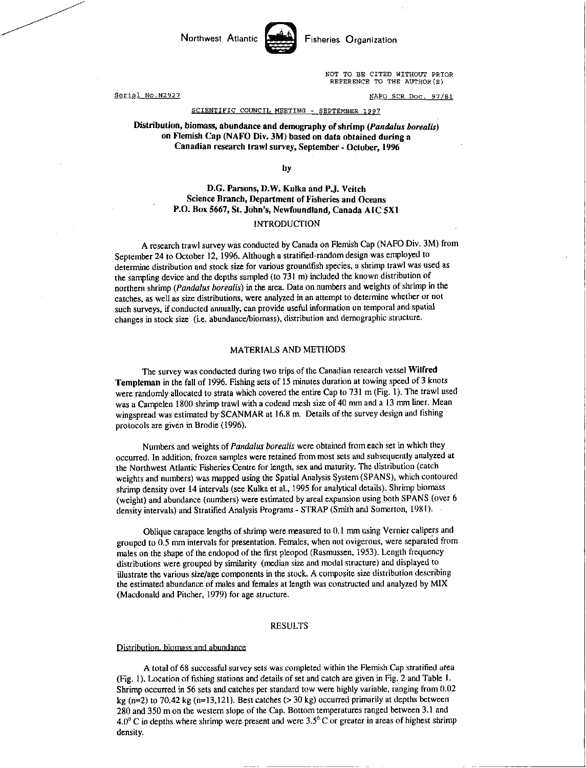

NOT TO BE CITED WITHOUT PRIOR REFERENCE TO THE AUTHOR(S)

Serial No.N2927 NAFO SCR Doc. 97/81

## SCIENTIFIC COUNCIL MEETING - SEPTEMBER 1997

Distribution, biomass, abundance and demography of shrimp *(Pandalus borealis)*  on Flemish Cap (NAFO Div. 3M) based on data obtained during a Canadian research trawl survey, September - October, 1996

by

# D.G. Parsons, D.W. Kulka and P.J. Veitch Science Branch, Department of Fisheries and Oceans P.O. Box 5667, St. John's, Newfoundland, Canada AIC 5X1 INTRODUCTION

# A research trawl survey was conducted by Canada on Flemish Cap (NAFO Div. 3M) from September 24 to October 12, 1996. Although a stratified-random design was employed to determine distribution and stock size for various groundfish species, a shrimp trawl was used as the sampling device and the depths sampled (to 731 m) included the known distribution of northern shrimp *(Pandalus borealis)* in the area. Data on numbers and weights of shrimp in the catches, as well as size distributions, were analyzed in an attempt to determine whether or not such surveys, if conducted annually, can provide useful information on temporal and spatial changes in stock size (i.e. abundance/biomass), distribution and demographic structure.

### MATERIALS AND METHODS

The survey was conducted during two trips of the Canadian research vessel Wilfred Templeman in the fall of 1996. Fishing sets of 15 minutes duration at towing speed of 3 knots were randomly allocated to strata which covered the entire Cap to 731 m (Fig. 1). The trawl used was a Campelen 1800 shrimp trawl with a codend mesh size of 40 mm and a 13 mm liner. Mean wingspread was estimated by SCANMAR at 16.8 m. Details of the survey design and fishing protocols are given in Brodie (1996).

Numbers and weights of *Pandalus borealis* were obtained from each set in which they occurred. In addition, frozen samples were retained from most sets and subsequently analyzed at the Northwest Atlantic Fisheries Centre for length, sex and maturity. The distribution (catch weights and numbers) was mapped using the Spatial Analysis System (SPANS), which contoured shrimp density over 14 intervals (see Kulka et al., 1995 for analytical details). Shrimp biomass (weight) and abundance (numbers) were estimated by areal expansion using both SPANS (over 6 density intervals) and Stratified Analysis Programs - STRAP (Smith and Somerton, 1981).

Oblique carapace lengths of shrimp were measured to 0.1 mm using Vernier calipers and grouped to 0.5 mm intervals for presentation. Females, when not ovigerous, were separated from males on the shape of the endopod of the first pleopod (Rasmussen, 1953). Length frequency distributions were grouped by similarity (median size and modal structure) and displayed to illustrate the various size/age components in the stock. A composite size distribution describing the estimated abundance of males and females at length was constructed and analyzed by MIX (Macdonald and Pitcher, 1979) for age structure.

# RESULTS

#### Distribution biomass and abundance

A total of 68 successful survey sets was completed within the Flemish Cap stratified area (Fig. 1). Location of fishing stations and details of set and catch are given in Fig. 2 and Table 1. Shrimp occurred in 56 sets and catches per standard tow were highly variable, ranging from 0.02 kg ( $n=2$ ) to 70.42 kg ( $n=13,121$ ). Best catches ( $>$ 30 kg) occurred primarily at depths between 280 and 350 m on the western slope of the Cap. Bottom temperatures ranged between 3.1 and  $4.0^{\circ}$  C in depths where shrimp were present and were 3.5° C or greater in areas of highest shrimp density.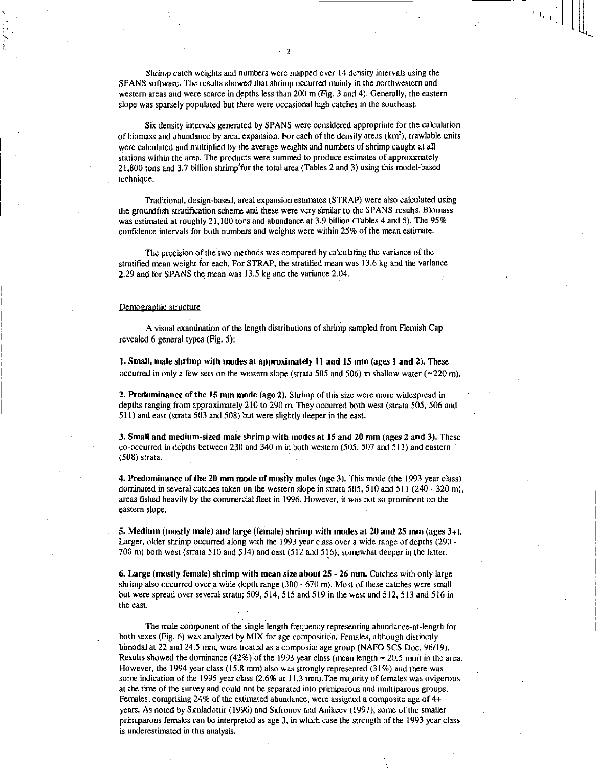*Shrimp* catch weights and numbers were mapped over 14 density intervals using the SPANS software. The results showed that shrimp occurred mainly in the northwestern and western areas and were scarce in depths less than 200 m (Fig. 3 and 4). Generally, the eastern slope was sparsely populated but there were occasional high catches in the southeast.

Six density intervals generated by SPANS were considered appropriate for the calculation of biomass and abundance by areal expansion. For each of the density areas  $(km<sup>2</sup>)$ , trawlable units were calculated and multiplied by the average weights and numbers of shrimp caught at all stations within the area. The products were summed to produce estimates of approximately  $21,800$  tons and 3.7 billion shrimp<sup>2</sup> for the total area (Tables 2 and 3) using this model-based technique.

Traditional, design-based, areal expansion estimates (STRAP) were also calculated using the groundfish stratification scheme and these were very similar to the SPANS results. Biomass was estimated at roughly 21,100 tons and abundance at 3.9 billion (Tables 4 and 5). The 95% confidence intervals for both numbers and weights were within 25% of the mean estimate.

The precision of the two methods was compared by calculating the variance of the stratified mean weight for each. For STRAP, the stratified mean was 13.6 kg and the variance 2.29 and for SPANS the mean was 13.5 kg and the variance 2.04.

#### Demographic structure

A visual examination of the length distributions of shrimp sampled from Flemish Cap revealed 6 general types (Fig. 5):

1. Small, male shrimp with modes at approximately 11 and 15 mm (ages 1 and 2). These occurred in only a few sets on the western slope (strata 505 and 506) in shallow water ( $\simeq$ 220 m).

2. Predominance of the 15 mm mode (age 2). Shrimp of this size were more widespread in depths ranging from approximately 210 to 290 m. They occurred both west (strata 505, 506 and 511) and east (strata 503 and 508) but were slightly deeper in the east.

3. Small and medium-sized male shrimp with modes at 15 and 20 mm (ages 2 and 3). These co-occurred in depths between 230 and 340 m in both western (505, 507 and 511) and eastern (508) strata.

4. Predominance of the 20 mm mode of mostly males (age 3). This mode (the 1993 year class) dominated in several catches taken on the western slope in strata 505, 510 and 511 (240 - 320 m), areas fished heavily by the commercial fleet in 1996. However, it was not so prominent on the eastern slope.

5. Medium (mostly male) and large (female) shrimp with modes at 20 and 25 mm (ages 3+). Larger, older shrimp occurred along with the 1993 year class over a wide range of depths (290 - 700 m) both west (strata 510 and 514) and east (512 and 516), somewhat deeper in the latter.

6. Large (mostly female) shrimp with mean size about 25 - 26 mm. Catches with only large shrimp also occurred over a wide depth range (300 - 670 m). Most of these catches were small but were spread over several strata; 509, 514, 515 and 519 in the west and 512, 513 and 516 in the east.

The male component of the single length frequency representing abundance-at-length for both sexes (Fig. 6) was analyzed by MIX for age composition. Females, although distinctly bimodal at 22 and 24.5 mm, were treated as a composite age group (NAFO SCS Doc. 96/19). Results showed the dominance (42%) of the 1993 year class (mean length = 20.5 mm) in the area. However, the 1994 year class (15.8 mm) also was strongly represented (31%) and there was some indication of the 1995 year class (2.6% at 11.3 mm). The majority of females was ovigerous at the time of the survey and could not be separated into primiparous and multiparous groups. Females, comprising 24% of the estimated abundance, were assigned a composite age of  $4+$ years. As noted by Skuladottir (1996) and Safronov and Anikeev (1997), some of the smaller primiparous females can be interpreted as age 3, in which case the strength of the 1993 year class is underestimated in this analysis.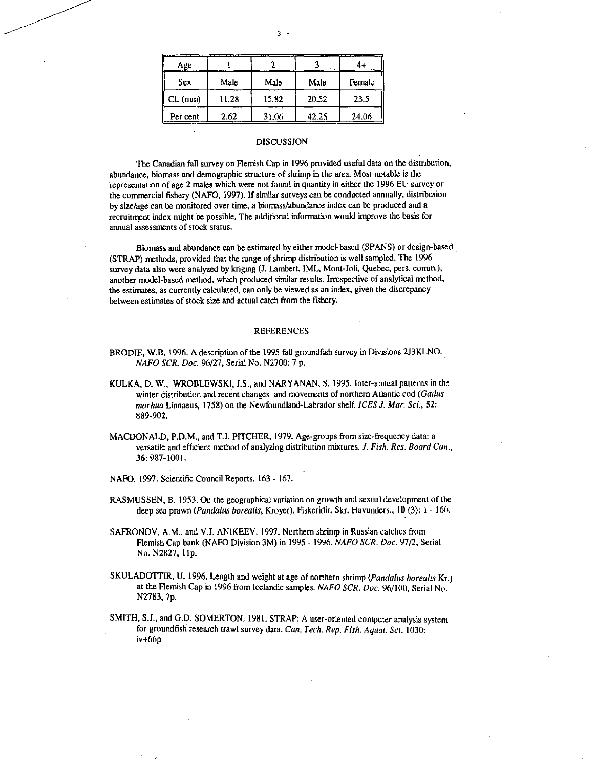| ----<br>Age   |       |       |       |        |
|---------------|-------|-------|-------|--------|
| Sex           | Male  | Male  | Male  | Female |
| $CL$ ( $mm$ ) | 11.28 | 15.82 | 20.52 | 23.5   |
| Per cent      | 2.62  | 31.06 | 42.25 | 24.06  |

## DISCUSSION

The Canadian fall survey on Flemish Cap in 1996 provided useful data on the distribution, abundance, biomass and demographic structure of shrimp in the area. Most notable is the representation of age 2 males which were not found in quantity in either the 1996 EU survey or the commercial fishery (NAFO, 1997). If similar surveys can be conducted annually, distribution by size/age can be monitored over time, a biomass/abundance index can be produced and a recruitment index might be possible. The additional information would improve the basis for annual assessments of stock status.

Biomass and abundance can be estimated by either model-based (SPANS) or design-based (STRAP) methods, provided that the range of shrimp distribution is well sampled. The 1996 survey data also were analyzed by kriging (J. Lambert, IML, Mont-Joli, Quebec, pers. comm.), another model-based method, which produced similar results. Irrespective of analytical method, the estimates, as currently calculated, can only be viewed as an index, given the discrepancy between estimates of stock size and actual catch from the fishery.

## **REFERENCES**

- BRODIE, W.B. 1996. A description of the 1995 fall groundfish survey in Divisions 2J3KLNO. *NAFO SCR. Doc.* 96/27, Serial No. N2700: 7 p.
- KULKA, D. W., WROBLEWSKI, J.S., and NARYANAN, S. 1995. Inter-annual patterns in the winter distribution and recent changes and movements of northern Atlantic cod *(Gadus morhua* Linnaeus, 1758) on the Newfoundland-Labrador shelf. *ICES J. Mar. Sci.,* 52: 889-902.
- MACDONALD, P.D.M., and T.J. PITCHER, 1979. Age-groups from size-frequency data: a versatile and efficient method of analyzing distribution mixtures. *J. Fish. Res. Board Can.,*  36: 987-1001.
- NAFO. 1997. Scientific Council Reports. 163 167.
- RASMUSSEN, B. 1953. On the geographical variation on growth and sexual development of the deep sea prawn *(Pandalas borealis,* Kroyer). Fiskeridir. Skr. Havunders., 10 (3): 1 - 160.
- SAFRONOV, A.M., and V.I. ANIKEEV. 1997. Northern shrimp in Russian catches from Flemish Cap bank (NAFO Division 3M) in 1995 - 1996. *NAFO SCR. Doc.* 97/2, Serial No. N2827, 1 1p.
- SKULADOTTIR, U. 1996. Length and weight at age of northern shrimp *(Pandalus borealis* Kr.) at the Flemish Cap in 1996 from Icelandic samples. *NAFO SCR. Doc.* 96/100, Serial No. N2783, 7p.
- SMITH, S.J., and G.D. SOMERTON. 1981. STRAP: A user-oriented computer analysis system for groundfish research trawl survey data. *Can. Tech. Rep. Fish. Aquat. Sci.* 1030: iv+66p.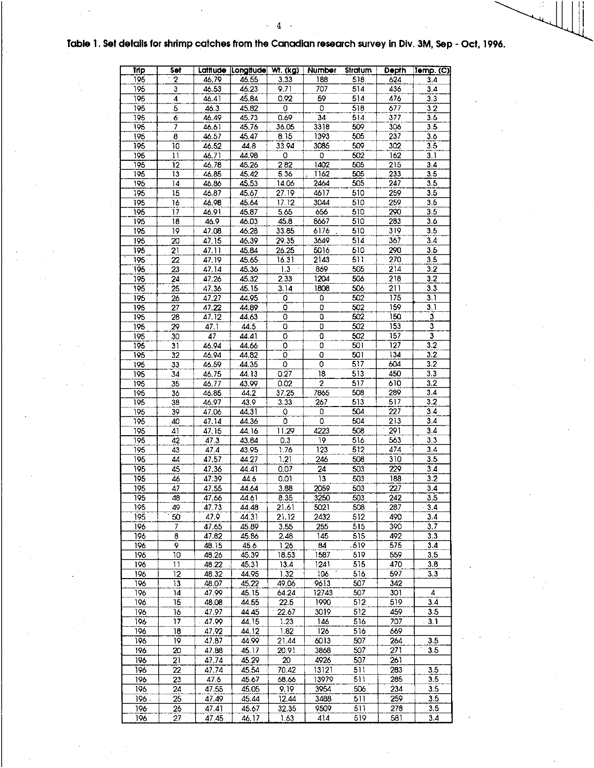# Table 1. Set details for shrimp catches from the Canadian research survey in Div. 3M, Sep - Oct, 1996.

| <b>Trip</b>      | Set                     |                | Latitude Longitude Wt. (kg) |                | Number                  | Stratum          | <b>Depth</b> | Temp. (C)                 |
|------------------|-------------------------|----------------|-----------------------------|----------------|-------------------------|------------------|--------------|---------------------------|
| 195              | $\overline{2}$          | 46.79          | 46.55                       | 3.33           | 188                     | 5:8              | 624          | 3.4                       |
| 195              | 3                       | 46.53          | 46.23                       | 9.71           | 707                     | 514              | 436          | 3,4                       |
| 195              | 4                       | 46.41          | 45.84                       | 0.92           | 59                      | 514              | 476          | 3.3                       |
| 195              | 5                       | 46.3           | 45.82                       | 0              | 0                       | 518              | 677          | 3.2                       |
| 195              | 6<br>7                  | 46.49          | 45.73                       | 0.69           | 34<br>3318              | 514<br>509       | 377<br>306   | 3.5<br>3.5                |
| 195<br>195       | $\overline{\mathbf{8}}$ | 46.61<br>46.57 | 45.76<br>45.47              | 36.05<br>8.15  | 1393                    | 505              | 237          | 3.6                       |
| 195              | 10                      | 46.52          | 44.8                        | 33.94          | 3085                    | 509              | 302          | $\overline{3.5}$          |
| 195              | $\mathbf{1}$            | 46.71          | 44.98                       | 0              | 0                       | 502              | 162          | 3.1                       |
| $\overline{195}$ | $\overline{12}$         | 46.78          | 45.26                       | 2.82           | 1402                    | 505              | 215          | 3.4                       |
| 195              | 13                      | 46.85          | 45.42                       | 5.36           | 1162                    | 505              | 233          | 3.5                       |
| 195              | 14                      | 46.86          | 45.53                       | 14.06          | 2464                    | $\overline{505}$ | 247          | 3.5                       |
| 195              | 15                      | 46.87          | 45.67                       | 27.19          | 4617                    | 510              | 259          | 3.5                       |
| 195              | 16                      | 46.98          | 45.64                       | 17.12          | 3044                    | 510              | 259          | 3.5                       |
| 195              | 17                      | 46.91          | 45.87                       | 5.65           | 656                     | 510              | 290          | 3.5                       |
| 195              | 18                      | 46.9           | 46.03                       | 45.8           | 8667                    | 510              | 283          | 3.6                       |
| 195              | 19                      | 47.08          | 46.28                       | 33.85          | 6176                    | 510              | 319          | 3.5                       |
| 195              | 20                      | 47.15          | 46.39                       | 29.35          | 3649                    | 514              | 367          | 3.4                       |
| 195              | 21                      | 47.11          | 45.84                       | 26.25          | 5016                    | 510              | 290          | 3.5                       |
| 195              | 22                      | 47.19          | 45.65                       | 16.31          | 2143                    | 511              | 270          | 3.5                       |
| 195              | 23                      | 47.14          | 45.36                       | 1.3            | 869                     | 505<br>506       | 214          | 3.2                       |
| 195<br>195       | 24<br>25                | 47.26          | 45.32<br>45.15              | 2.33<br>3.14   | 1204<br>1808            | 506              | 218<br>211   | 3.2<br>3.3                |
| 195              | 26                      | 47.36<br>47.27 | 44.95                       | 0              | 0                       | 502              | 175          | 3.1                       |
| 195              | 27                      | 47.22          | 44.89                       | 0              | 0                       | 502              | 159          | 3,1                       |
| 195              | 28                      | 47.12          | 44.63                       | 0              | 0                       | 502              | 150          | $\overline{3}$            |
| 195              | 29                      | 47.1           | 44.5                        | 0              | ō                       | 502              | 153          | $\overline{\overline{3}}$ |
| 195              | 30                      | 47             | 44.41                       | $\overline{0}$ | 0                       | 502              | 157          | $\overline{\mathbf{3}}$   |
| 195              | 31                      | 46.94          | 44.66                       | 0              | 0                       | 501              | 127          | 3.2                       |
| 195              | 32                      | 46.94          | 44.82                       | ō              | 0                       | 501              | 134          | 3.2                       |
| 195              | 33                      | 46.59          | 44.35                       | 0              | 0                       | 517              | 604          | 3.2                       |
| 195              | 34                      | 46.75          | 44.13                       | 0.27           | 18                      | 513              | 450          | 3.3                       |
| 195              | 35                      | 46.77          | 43.99                       | 0.02           | $\overline{2}$          | 517              | 610          | 3.2                       |
| 195              | 36                      | 46,85          | 44.2                        | 37.25          | 7865                    | 508              | 289          | 3,4                       |
| 195              | 38                      | 46.97          | 43,9                        | 3,33           | 267                     | 513              | 517          | $\overline{3.2}$          |
| 195              | 39                      | 47.06          | 44.31                       | 0              | 0                       | 504              | 227          | $3.4 -$                   |
| 195              | 40                      | 47.14          | 44.36                       | 0              | 0                       | 504              | 213          | 3,4                       |
| 195              | 41                      | 47.15          | 44.16                       | 11.29          | 4223                    | 508<br>516       | 291<br>563   | 3.4<br>3.3                |
| 195<br>195       | 42<br>43                | 47.3<br>47.4   | 43.84<br>43.95              | 0.3<br>1.76    | 19.<br>$\overline{123}$ | 512              | 474          | 3.4                       |
| 195              | 44                      | 47.57          | 44.27                       | 1.21           | 246                     | 508              | 310          | 3.5                       |
| 195              | 45                      | 47.36          | 44.41                       | 0.07           | 24                      | 503              | 229          | 3.4                       |
| 195              | 46                      | 47.39          | 44.6                        | 0.01           | 13                      | 503              | 188          | 3.2                       |
| 195              | 47                      | 47.55          | 44.64                       | 3,88           | 2059                    | 503              | 227          | 3.4                       |
| 195              | 48                      | 47.66          | 44.61                       | 8.35           | 3250                    | 503              | 242          | 3.5                       |
| 195              | 49                      | 47.73          | 44.48                       | 21.61          | 5021                    | 508              | 287          | 3.4                       |
| 195              | 50                      | 47.9           | 44.31                       | 21.12          | 2432                    | 512              | 490          | 3.4                       |
| 196              | 7                       | 47.65          | 45.89                       | 3.55           | 255                     | 515              | 390          | 3.7                       |
| 196              | 8                       | 47.82          | 45.86                       | 2.48           | 145                     | 515              | 492          | 3.3                       |
| 196              | 9                       | 48.15          | 45.6                        | 1.26           | 84                      | -519             | 575          | 3.4                       |
| 196              | 10                      | 48.26          | 45.39                       | 18.53          | 1587                    | 519              | 559          | 3.5                       |
| 196              | 11                      | 48.22          | 45.31                       | 13.4           | 1241                    | 515              | 470          | 3.8                       |
| 196              | 12                      | 48.32          | 44.95                       | 1.32           | 106                     | 516              | 597          | 3.3                       |
| 196<br>196       | 13<br>14                | 48.07<br>47.99 | 45.22<br>45.15              | 49.06<br>64.24 | 9613<br>12743           | 507<br>507       | 342<br>301   | 4                         |
| 196              | 15                      | 48.08          | 44.55                       | 22.5           | 1990                    | 512              | 519          | 3.4                       |
| 196              | 16                      | 47.97          | 44.45                       | 22.67          | 3019                    | 512              | 459          | 3.5                       |
| 196              | 17                      | 47.99          | 44. 15                      | 1.23           | 146                     | 516              | 707          | 3.1                       |
| 196              | 18                      | 47.92          | 44.12                       | 1.82           | 126                     | 516              | 669          |                           |
| 196              | 19                      | 47.87          | 44.99                       | 21.44          | 6013                    | 507              | 264          | 3.5                       |
| 196              | 20                      | 47.88          | 45.17                       | 20.91          | 3868                    | 507              | 271          | 3.5                       |
| 196              | 21                      | 47,74          | 45.29                       | 20             | 4926                    | 507              | 261          |                           |
| 196              | 22                      | 47.74          | 45.54                       | 70.42          | 13121                   | 511              | 283          | 3.5                       |
| 196              | 23                      | 47.6           | 45.67                       | 68.66          | 13979                   | 511              | 285          | 3.5                       |
| 196              | 24                      | 47.55          | 45.05                       | 9.19           | 3954                    | 506              | 234          | 3.5                       |
| 196.             | 25                      | 47.49          | 45,44                       | 12.44          | 3488                    | 511              | 259          | 3.5                       |
| 196              | 26                      | 47.41          | 45.67                       | 32.35          | 9509                    | 511              | 278          | 3.5                       |
| 196              | 27                      | 47.45          | 46.17                       | 1.63           | 414                     | 519              | 581          | 3.4                       |

 $\overline{\mathbf{4}}$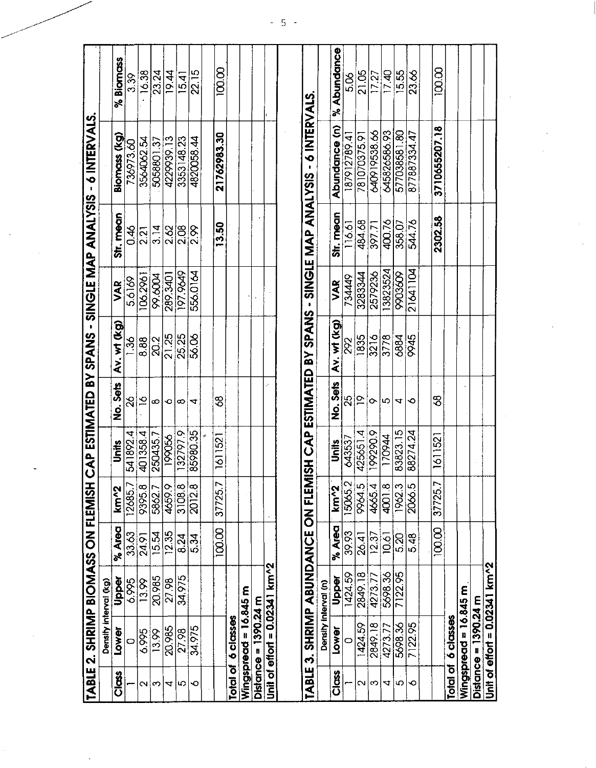|                          |                        | TABLE 2. SHRIMP BIOMASS ON FLEMISH |                   |                     |          |                |                                    |          |                              | CAP ESTIMATED BY SPANS - SINGLE MAP ANALYSIS - 6 INTERVALS. |                |
|--------------------------|------------------------|------------------------------------|-------------------|---------------------|----------|----------------|------------------------------------|----------|------------------------------|-------------------------------------------------------------|----------------|
|                          |                        | Density interval (kg)              |                   |                     |          |                |                                    |          |                              |                                                             |                |
| <b>Signs</b>             | lower                  | Upper                              | % Area            | km <sub>2</sub>     | Units    | No. Sets       | Av. wt (kg)                        | VAR      | Str. mean                    | Biomass (kg)                                                | % Biomass      |
|                          | $\circ$                | 6.995                              | 33.63             | 2685.7              | 541892.4 | S,             | $\frac{8}{1}$                      | 5.6169   | 0.46                         | 736973.60                                                   | 3.39           |
| $\scriptstyle\mathtt{N}$ | 6.995                  | 13.99                              | 24.91             | 9395.8              | 4013584  | $\overline{6}$ | 888                                | 106.296  | 2.21                         | 3564062.54                                                  | 16.38          |
| ∞                        | 13.99                  | 20.985                             | $\frac{15.54}{5}$ | 5862.7              | 2504357  | ∞              | $\sqrt{2}$                         | 89.6004  | 3.14                         | 5058801.37                                                  | 23.24          |
| 4                        | 20,985                 | 27.98                              | 12.35             | 46599               | 199056   | $\circ$        | 21.25                              | 289.3401 | 2.62                         | 4229939.13                                                  | 19.44          |
| ω                        | 27.98                  | 34.975                             | 8.24              | 3108.8              | 132797.9 | ထ              | 25.25                              | 197.9649 | 2.08                         | 3353148.23                                                  | 15.41          |
| ∘                        | 34.975                 |                                    | 5.34              | $\frac{2012.8}{ }$  | 85980.35 | ↴              | 56.06                              | 556.0164 | $\frac{8}{2}$                | 482005844                                                   | 22.15          |
|                          |                        |                                    |                   |                     |          |                |                                    |          |                              |                                                             |                |
|                          |                        |                                    | 100,00            | 37725.7             | 1611521  | 3              |                                    |          | 13.50                        | 21762983.30                                                 | 100.00         |
|                          | Total of 6 classes     |                                    |                   |                     |          |                |                                    |          |                              |                                                             |                |
| Wingspread               |                        | $= 16.845$ m                       |                   |                     |          |                |                                    |          |                              |                                                             |                |
|                          | Distance = $1390.24$ m |                                    |                   |                     |          |                |                                    |          |                              |                                                             |                |
|                          |                        | Unit of effort = 0.02341 km^2      |                   |                     |          |                |                                    |          |                              |                                                             |                |
|                          |                        |                                    |                   |                     |          |                |                                    |          |                              |                                                             |                |
| <b>TABLE</b>             | $\ddot{\bullet}$       | <b>SHRIMP ABUNDANCE ON FLEM</b>    |                   |                     |          |                | <b>TISH CAP ESTIMATED BY SPANS</b> |          | <b>SIGNATARY ARE ENGINES</b> | 6 INTERVALS                                                 |                |
|                          |                        | Density interval (n)               |                   |                     |          |                |                                    |          |                              |                                                             |                |
| <b>SSC</b>               | lower                  | Pober                              | % Area            | km <sup>2</sup>     | Units    | No. Sets       | Av. wt (kg)                        | VAR      | Str. mean                    | Abundance (n)                                               | % Abundance    |
|                          | $\circ$                | 1424.59                            | 39.93             | 5065.2              | 643537   | 25             | 292                                | 734449   | 116.61                       | 187912789.4                                                 | 8.Q            |
| $\sim$                   | 1424.59                | 2849.18                            | 26.41             | <b>96645</b>        | 4256514  | $\overline{P}$ | 1835                               | 3283344  | 484,68                       | 781070375.9                                                 | 21.05          |
| က                        | 2849.18                | 4273.77                            | $\sqrt{2.37}$     | 4665.4              | 199290.9 | $\sim$         | 3216                               | 2579236  | 397.71                       | 640919538.66                                                | $\sqrt{17.27}$ |
| 4                        | 4273.77                | 5698.36                            | 10.6              | 4001.8              | 170944   | l LO           | 3778                               | 3823524  | 400.76                       | 645826586.93                                                | 17.40          |
| Ю                        | 5698.36                | 7122.95                            | 5.20              | 1962.3              | 83823.15 | 4              | 6884                               | 9903609  | 358.07                       | 577038581.80                                                | 15.55          |
| ∘                        | 7122.95                |                                    | 5.48              | 2066.5              | 88274.24 | ю              | 9945                               | 21641104 | 544.76                       | 877887334.47                                                | 23.66          |
|                          |                        |                                    |                   |                     |          |                |                                    |          |                              |                                                             |                |
|                          |                        |                                    | 100.00            | $\frac{1}{37725.7}$ | 1611521  | 38             |                                    |          | 2302.58                      | 3710655207.18                                               | 100.00         |
|                          | Total of 6 classes     |                                    |                   |                     |          |                |                                    |          |                              |                                                             |                |
|                          | Wingspread = 16.845 m  |                                    |                   |                     |          |                |                                    |          |                              |                                                             |                |
|                          | Distance = $1390.24$ m |                                    |                   |                     |          |                |                                    |          |                              |                                                             |                |
|                          |                        | Unit of effort = $0.02341$ km^2    |                   |                     |          |                |                                    |          |                              |                                                             |                |

5 -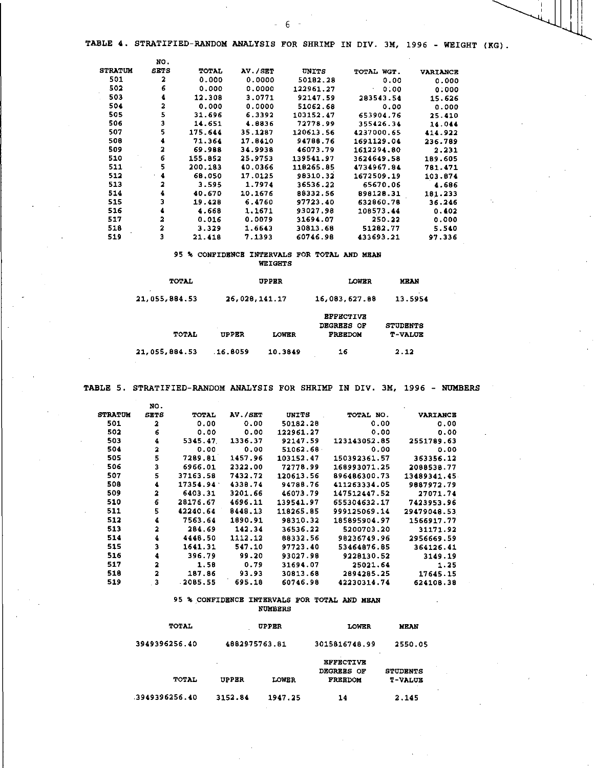- 6 -

|                | NO.         |         |         |           |                   |                 |
|----------------|-------------|---------|---------|-----------|-------------------|-----------------|
| <b>STRATUM</b> | <b>SETS</b> | TOTAL   | AV./SET | UNITS     | TOTAL WGT.        | <b>VARIANCE</b> |
| 501            | 2           | 0.000   | 0.0000  | 50182.28  | 0.00              | 0.000           |
| 502            | 6           | 0.000   | 0.0000  | 122961.27 | 0.00<br>$\bullet$ | 0:000           |
| 503            | 4           | 12.308  | 3.0771  | 92147.59  | 283543.54         | 15.626          |
| 504            | 2           | 0.000   | 0.0000  | 51062.68  | 0.00              | 0.000           |
| 505            | 5           | 31.696  | 6.3392  | 103152.47 | 653904.76         | 25.410          |
| 506            | 3           | 14.651  | 4.0836  | 72778.99  | 355426.34         | 14.044          |
| 507            | 5           | 175.644 | 35.1287 | 120613.56 | 4237000.65        | 414.922         |
| 508            | 4           | 71.364  | 17.8410 | 94788.76  | 1691129.04        | 236.789         |
| 509            | 2           | 69.988  | 34.9938 | 46073.79  | 1612294.80        | 2.231           |
| 510            | 6           | 155.852 | 25.9753 | 139541.97 | 3624649.58        | 189.605         |
| 511            | 5           | 200.183 | 40.0366 | 118265.85 | 4734967.84        | 781.471         |
| 512            | 4           | 68.050  | 17.0125 | 98310.32  | 1672509.19        | 103.874         |
| 513            |             | 3.595   | 1.7974  | 36536.22  | 65670.06          | 4.686           |
| 514            |             | 40.670  | 10.1676 | 88332.56  | 898128.31         | 181.233         |
| 515            | 3           | 19.428  | 6.4760  | 97723.40  | 632860.78         | 36.246          |
| 516            | 4           | 4.668   | 1.1671  | 93027.98  | 108573.44         | 0.402           |
| 517            | 2           | 0.016   | 0.0079  | 31694.07  | 250.22            | 0.000           |
| 518            | 2           | 3.329   | 1.6643  | 30813.68  | 51282.77          | 5.540           |
| 519            | з           | 21.418  | 7.1393  | 60746.98  | 433693.21         | 97.336          |

# 95 % CONFIDENCE INTERVALS FOR TOTAL AND MEAN

| <b>WEIGHTS</b> |
|----------------|
|----------------|

| TOTAL         |               | <b>UPPER</b> | LOWER                                                          | <b>MEAN</b>                       |
|---------------|---------------|--------------|----------------------------------------------------------------|-----------------------------------|
| 21,055,884,53 | 26,028,141.17 |              | 16.083.627.88                                                  | 13.5954                           |
| TOTAL         | <b>UPPER</b>  | LOWER        | <b><i>RFFECTIVE</i></b><br><b>DEGREES OF</b><br><b>FREEDOM</b> | <b>STUDENTS</b><br><b>T-VALUE</b> |
| 21,055,884.53 | 16.8059       | 10.3849      | 16                                                             | 2.12                              |

TABLE 5. STRATIFIED-RANDOM ANALYSIS FOR SHRIMP IN DIV. 3M, 1996 - NUMBERS

|                | NO.                     |          |         |           |              |                 |
|----------------|-------------------------|----------|---------|-----------|--------------|-----------------|
| <b>STRATUM</b> | <b>SETS</b>             | TOTAL    | AV./SET | UNITS     | TOTAL NO.    | <b>VARIANCE</b> |
| 501            | $\overline{\mathbf{2}}$ | 0.00     | 0.00    | 50182.28  | 0.00         | 0.00            |
| 502            | 6                       | 0.00     | 0.00    | 122961.27 | 0.00         | 0.00            |
| 503            | 4                       | 5345.47  | 1336.37 | 92147.59  | 123143052.85 | 2551789.63      |
| 504            | 2                       | 0.00     | 0.00    | 51062.68  | 0.00         | 0.00            |
| 505            | 5                       | 7289.81  | 1457.96 | 103152.47 | 150392361.57 | 363356.12       |
| 506            | 3                       | 6966.01  | 2322.00 | 72778.99  | 168993071.25 | 2088538.77      |
| 507            | 5                       | 37163.58 | 7432.72 | 120613.56 | 896486300.73 | 13489341.45     |
| 508            | 4                       | 17354.94 | 4338.74 | 94788.76  | 411263334.05 | 9887972.79      |
| 509            | 2                       | 6403.31  | 3201.66 | 46073.79  | 147512447.52 | 27071.74        |
| 510            | 6                       | 28176.67 | 4696.11 | 139541.97 | 655304632.17 | 7423953.96      |
| 511            | 5                       | 42240.64 | 8448.13 | 118265.85 | 999125069.14 | 29479048.53     |
| 512            | 4                       | 7563.64  | 1890.91 | 98310.32  | 185895904.97 | 1566917.77      |
| 513            | $\overline{\mathbf{z}}$ | 284.69   | 142.34  | 36536.22  | 5200703.20   | 31171.92        |
| 514            | 4                       | 4448.50  | 1112.12 | 88332.56  | 98236749.96  | 2956669.59      |
| 515            | 3                       | 1641.31  | 547.10  | 97723.40  | 53464876.85  | 364126.41       |
| 516            | 4                       | 396.79   | 99.20   | 93027.98  | 9228130.52   | 3149.19         |
| 517            | 2                       | 1.5B     | 0.79    | 31694.07  | 25021.64     | 1.25            |
| 518            | $\overline{a}$          | 187.86   | 93.93   | 30813.68  | 2894285.25   | 17645.15        |
| 519            | . 3                     | 2085.55  | 695.18  | 60746.98  | 42230314.74  | 624108.38       |

#### 95 % CONFIDENCE INTERVALS FOR TOTAL AND MEAN NUMBERS

| <b>TOTAL</b>  |                   | <b>UPPER</b> | <b>LOWER</b>                                            | MEAN                              |
|---------------|-------------------|--------------|---------------------------------------------------------|-----------------------------------|
| 3949396256.40 | 4882975763.81     |              | 3015816748.99                                           | 2550.05                           |
| <b>TOTAL</b>  | ٠<br><b>UPPER</b> | <b>LOWER</b> | <b>EFFECTIVE</b><br><b>DEGREES OF</b><br><b>FREEDOM</b> | <b>STUDENTS</b><br><b>T-VALUE</b> |
| 3949396256.40 | 3152.84           | 1947.25      | 14                                                      | 2.145                             |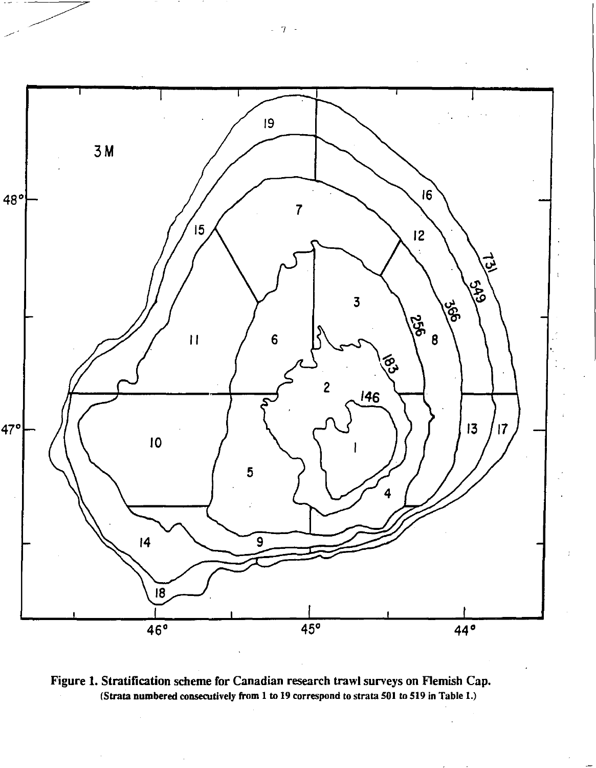



- 7 -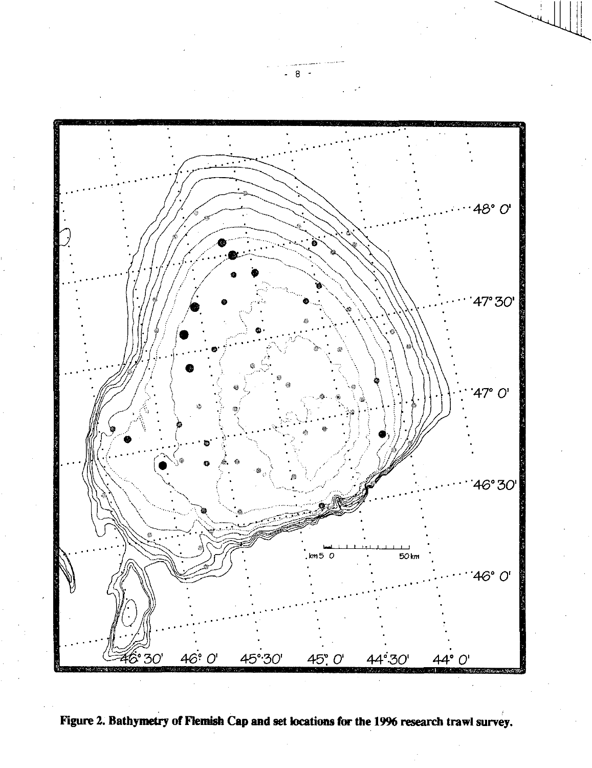

**Figure 2. Bathymetry of Flemish Cap and set locations for the 1996 research trawl survey.** 

 $-8$  -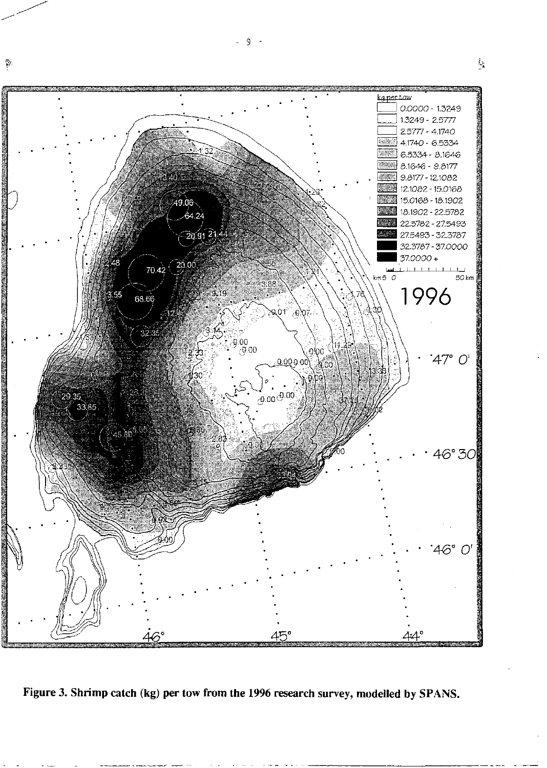

Figure 3. Shrimp catch (kg) per tow from the 1996 research survey, modelled by SPANS.

 $-9 -$ 

 $\mathcal{L}$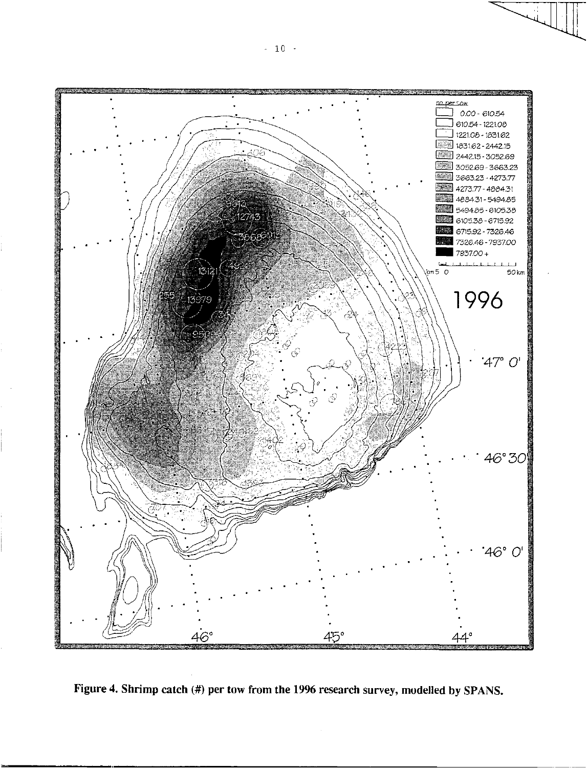

Figure 4. Shrimp catch (#) per tow from the 1996 research survey, modelled by SPANS.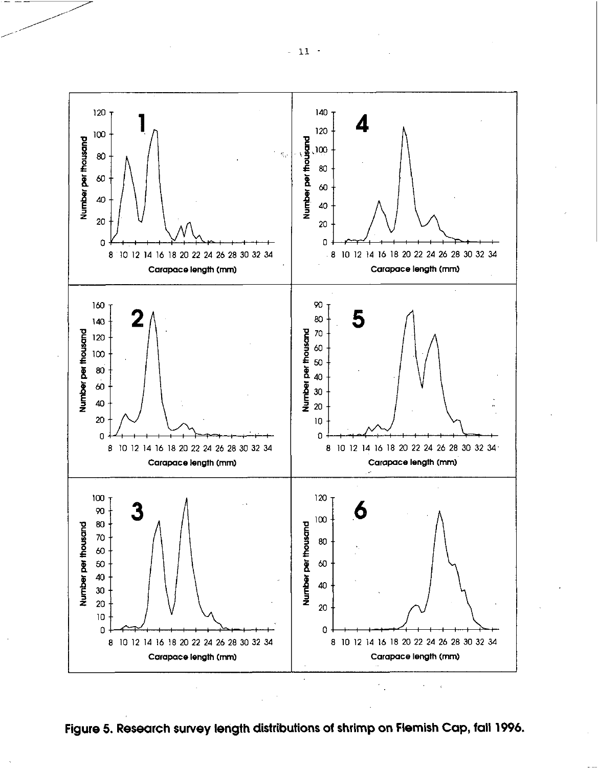

**Figure 5. Research survey length distributions of shrimp on Flemish Cap, fall 1996.**